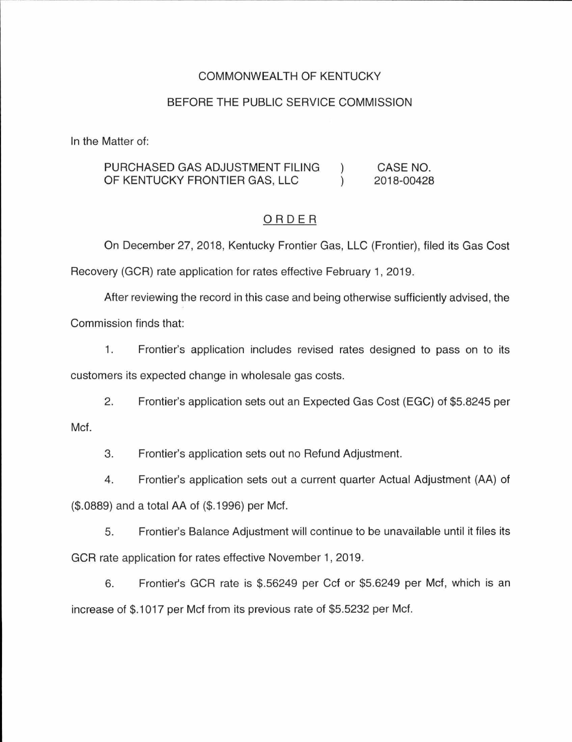### COMMONWEALTH OF KENTUCKY

#### BEFORE THE PUBLIC SERVICE COMMISSION

In the Matter of:

#### PURCHASED GAS ADJUSTMENT FILING CASE NO.  $\mathcal{C}$ OF KENTUCKY FRONTIER GAS, LLC 2018-00428  $\lambda$

#### ORDER

On December 27, 2018, Kentucky Frontier Gas, LLC (Frontier), filed its Gas Cost Recovery (GCR) rate application for rates effective February 1, 2019.

After reviewing the record in this case and being otherwise sufficiently advised, the Commission finds that:

1. Frontier's application includes revised rates designed to pass on to its customers its expected change in wholesale gas costs.

2. Frontier's application sets out an Expected Gas Cost (EGC) of \$5.8245 per Met.

3. Frontier's application sets out no Refund Adjustment.

4. Frontier's application sets out a current quarter Actual Adjustment (AA) of (\$.0889) and a total AA of (\$.1996) per Met.

5. Frontier's Balance Adjustment will continue to be unavailable until it files its GCR rate application for rates effective November 1, 2019.

6. Frontier's GCR rate is \$.56249 per Ccf or \$5.6249 per Met, which is an increase of \$.1017 per Met from its previous rate of \$5.5232 per Met.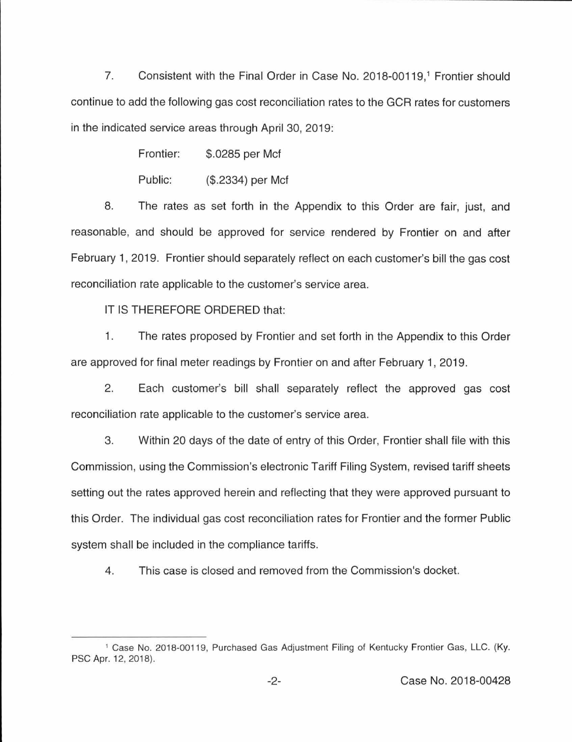7. Consistent with the Final Order in Case No. 2018-00119,<sup>1</sup> Frontier should continue to add the following gas cost reconciliation rates to the GCR rates for customers in the indicated service areas through April 30, 2019:

Frontier: \$.0285 per Met

Public: (\$.2334) per Met

8. The rates as set forth in the Appendix to this Order are fair, just, and reasonable, and should be approved for service rendered by Frontier on and after February 1, 2019. Frontier should separately reflect on each customer's bill the gas cost reconciliation rate applicable to the customer's service area.

IT IS THEREFORE ORDERED that:

1. The rates proposed by Frontier and set forth in the Appendix to this Order are approved for final meter readings by Frontier on and after February 1, 2019.

2. Each customer's bill shall separately reflect the approved gas cost reconciliation rate applicable to the customer's service area.

3. Within 20 days of the date of entry of this Order, Frontier shall file with this Commission, using the Commission's electronic Tariff Filing System, revised tariff sheets setting out the rates approved herein and reflecting that they were approved pursuant to this Order. The individual gas cost reconciliation rates for Frontier and the former Public system shall be included in the compliance tariffs.

4. This case is closed and removed from the Commission's docket.

<sup>&</sup>lt;sup>1</sup> Case No. 2018-00119, Purchased Gas Adjustment Filing of Kentucky Frontier Gas, LLC. (Ky. PSC Apr. 12, 2018).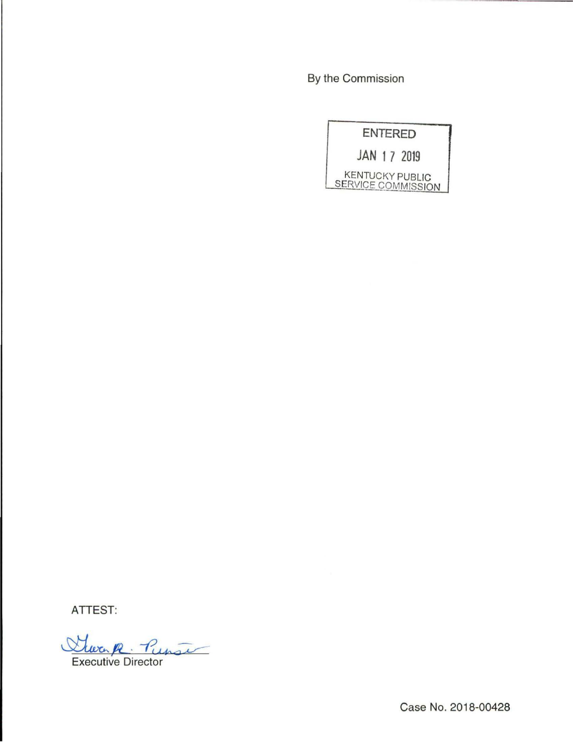By the Commission

|  |  |  | <b>ENTERED</b>                               |
|--|--|--|----------------------------------------------|
|  |  |  | JAN 17 2019                                  |
|  |  |  | <b>KENTUCKY PUBLIC</b><br>SERVICE COMMISSION |

ATTEST:

Steven R. Punse

Case No. 2018-00428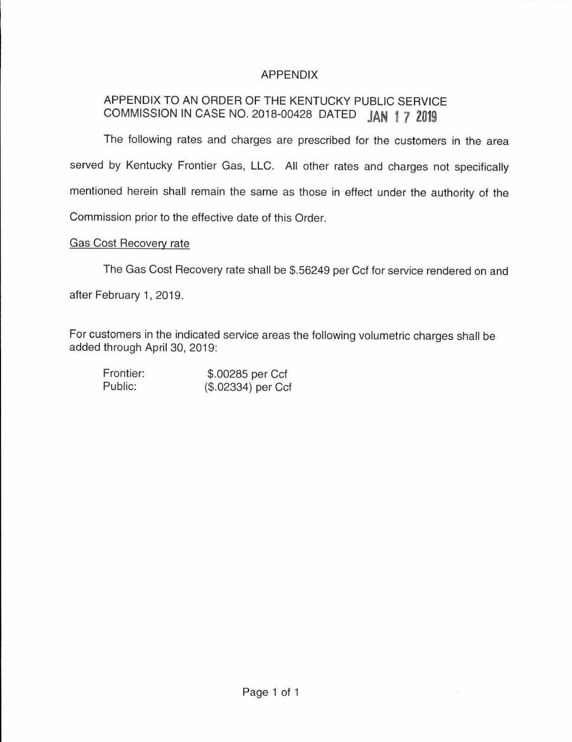## APPENDIX

# APPENDIX TO AN ORDER OF THE KENTUCKY PUBLIC SERVICE COMMISSION IN CASE NO. 2018-00428 DATED **JAN 1 7 2019**

The following rates and charges are prescribed for the customers in the area served by Kentucky Frontier Gas, LLC. All other rates and charges not specifically mentioned herein shall remain the same as those in effect under the authority of the Commission prior to the effective date of this Order.

#### Gas Cost Recovery rate

The Gas Cost Recovery rate shall be \$.56249 per Ccf for service rendered on and after February 1, 2019.

For customers in the indicated service areas the following volumetric charges shall be added through April 30, 2019:

Frontier: Public:

\$.00285 per Ccf (\$.02334) per Ccf